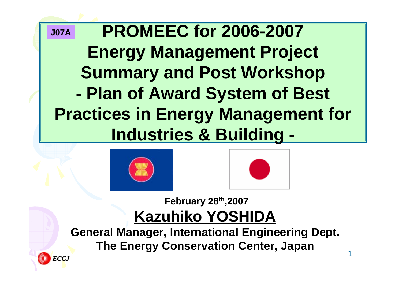#### **PROMEEC for 2006-2007 Energy Management Project Summary and Post Workshop - Plan of Award System of Best Practices in Energy Management for Industries & Building - J07A**





**February 28th,2007 Kazuhiko YOSHIDA**

**General Manager, International Engineering Dept. The Energy Conservation Center, Japan**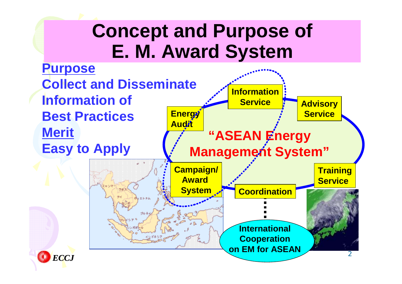## **Concept and Purpose of E. M. Award System**

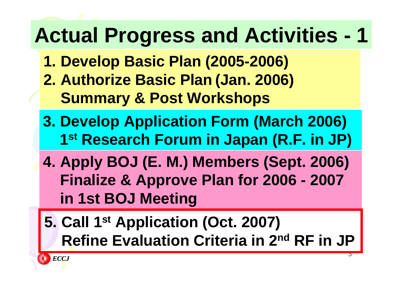# **Actual Progress and Activities - 1**

- **1. Develop Basic Plan (2005-2006) 2. Authorize Basic Plan (Jan. 2006) Summary & Post Workshops**
- **3. Develop Application Form (March 2006) 1st Research Forum in Japan (R.F. in JP)**
- **4. Apply BOJ (E. M.) Members (Sept. 2006) Finalize & Approve Plan for 2006 - 2007 in 1st BOJ Meeting**
- **5. Call 1st Application (Oct. 2007) Refine Evaluation Criteria in 2nd RF in JP**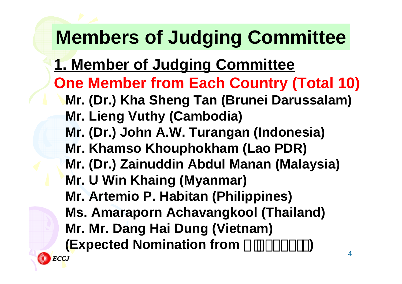# **Members of Judging Committee**

- **1. Member of Judging Committee**
- **One Member from Each Country (Total 10)**
	- **Mr. (Dr.) Kha Sheng Tan (Brunei Darussalam) Mr. Lieng Vuthy (Cambodia)**
	-
	- **Mr. (Dr.) John A.W. Turangan (Indonesia)**
	- **Mr. Khamso Khouphokham (Lao PDR)**
	- **Mr. (Dr.) Zainuddin Abdul Manan (Malaysia)**
	- **Mr. U Win Khaing (Myanmar)**
	- **Mr. Artemio P. Habitan (Philippines)**
	- **Ms. Amaraporn Achavangkool (Thailand)**
	- **Mr. Mr. Dang Hai Dung (Vietnam)**
	- **(Expected Nomination from**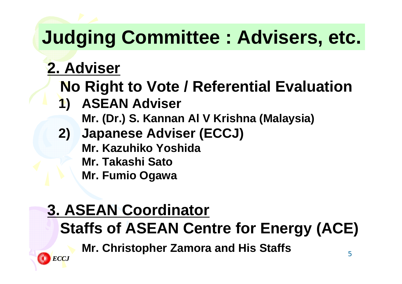# **Judging Committee : Advisers, etc.**

### **2. Adviser**

- **No Right to Vote / Referential Evaluation**
- **1) ASEAN Adviser**
	- **Mr. (Dr.) S. Kannan Al V Krishna (Malaysia)**
- **2) Japanese Adviser (ECCJ) Mr. Kazuhiko YoshidaMr. Takashi SatoMr. Fumio Ogawa**

### **3. ASEAN Coordinator Staffs of ASEAN Centre for Energy (ACE)**

**Mr. Christopher Zamora and His Staffs**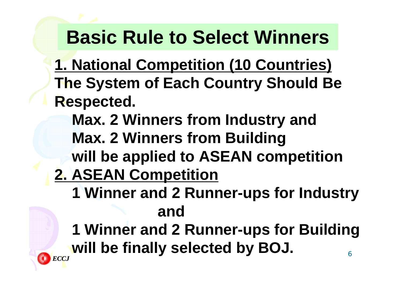## **Basic Rule to Select Winners**

- **1. National Competition (10 Countries) The System of Each Country Should Be Respected.**
	- **Max. 2 Winners from Industry and Max. 2 Winners from Building**
	- **will be applied to ASEAN competition**
- **2. ASEAN Competition**
	- **1 Winner and 2 Runner-ups for Industry and**
	- 6**1 Winner and 2 Runner-ups for Building will be finally selected by BOJ.**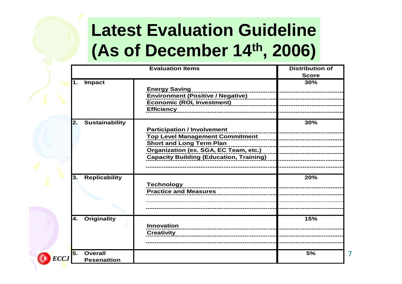## **Latest Evaluation Guideline (As of December 14th, 2006)**

|                   | <b>Evaluation Items</b>              |                                                                                                                                                                                                            | <b>Distribution of</b><br><b>Score</b> |
|-------------------|--------------------------------------|------------------------------------------------------------------------------------------------------------------------------------------------------------------------------------------------------------|----------------------------------------|
| 1.                | <b>Impact</b>                        | <b>Energy Saving</b><br><b>Environment (Positive / Negative)</b><br><b>Economic (ROI, Investment)</b><br><u> Alexandria de Alexandria</u><br><b>Efficiency</b>                                             | 30%                                    |
| $\mathbf{2}$ .    | <b>Sustainability</b>                | <b>Participation / Involvement</b><br><b>Top Level Management Commitment</b><br><b>Short and Long Term Plan</b><br>Organization (ex. SGA, EC Team, etc.)<br><b>Capacity Building (Education, Training)</b> | 30%                                    |
| 3.                | <b>Replicability</b>                 | <b>Technology</b><br><b>Practice and Measures</b>                                                                                                                                                          | 20%                                    |
| 4.                | <b>Originality</b>                   | <b>Innovation</b><br>------------------------------<br><b>Creativity</b>                                                                                                                                   | 15%                                    |
| 5.<br><b>ECCJ</b> | <b>Overall</b><br><b>Pesenattion</b> |                                                                                                                                                                                                            | 5%                                     |

7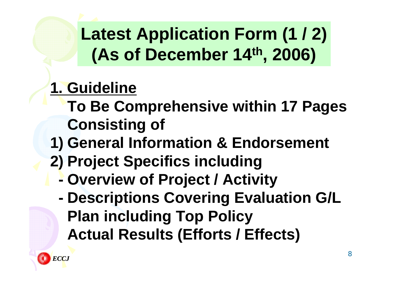## **Latest Application Form (1 / 2) (As of December 14th, 2006)**

### **1. Guideline**

- **To Be Comprehensive within 17 Pages Consisting of**
- **1) General Information & Endorsement**
- **2) Project Specifics including**
	- **- Overview of Project / Activity**
	- **- Descriptions Covering Evaluation G/L Plan including Top Policy Actual Results (Efforts / Effects)**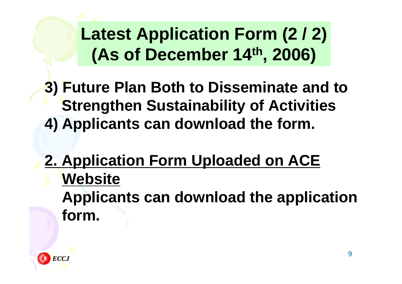## **Latest Application Form (2 / 2) (As of December 14th, 2006)**

**3) Future Plan Both to Disseminate and to Strengthen Sustainability of Activities 4) Applicants can download the form.**

**2. Application Form Uploaded on ACE Website Applicants can download the application form.**

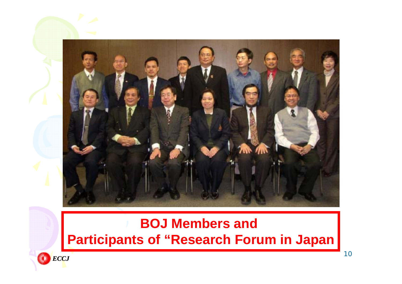

#### **BOJ Members and Participants of "Research Forum in Japan**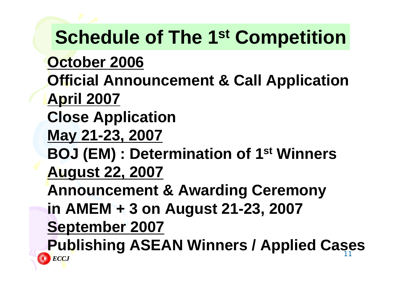11**Publishing ASEAN Winners / Applied Cases***ECCJ***Schedule of The 1st Competition October 2006 Official Announcement & Call Application April 2007 Close Application May 21-23, 2007 BOJ (EM) : Determination of 1st Winners August 22, 2007 Announcement & Awarding Ceremony in AMEM + 3 on August 21-23, 2007 September 2007**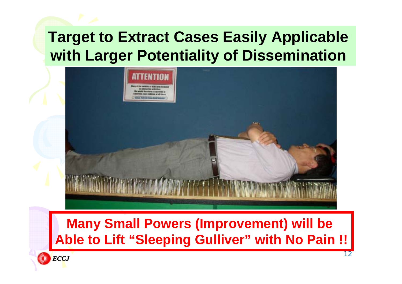#### **Target to Extract Cases Easily Applicable with Larger Potentiality of Dissemination**



#### **Many Small Powers (Improvement) will be Able to Lift "Sleeping Gulliver" with No Pain !!**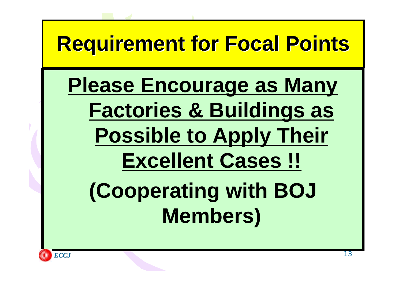# **Requirement for Focal Points Requirement for Focal Points**

# **Please Encourage as Many Factories & Buildings as Possible to Apply Their Excellent Cases !! (Cooperating with BOJ Members)**